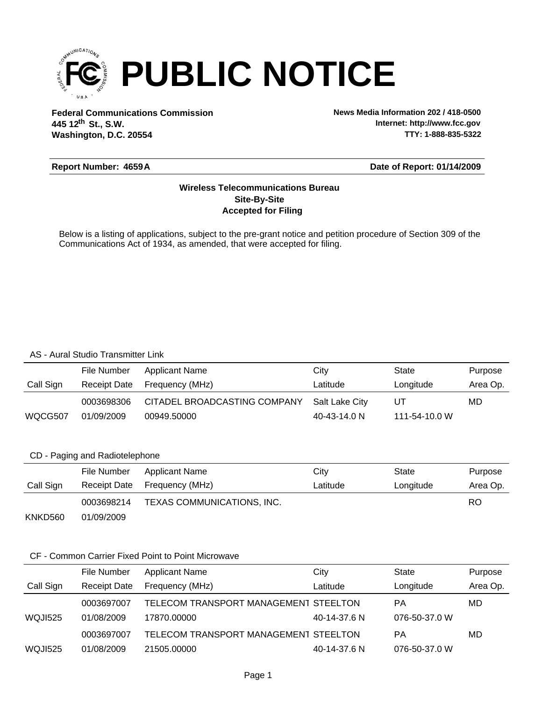

**Federal Communications Commission News Media Information 202 / 418-0500 Washington, D.C. 20554 th 445 12 St., S.W.**

**Internet: http://www.fcc.gov TTY: 1-888-835-5322**

### **Report Number: 4659A**

### **Date of Report: 01/14/2009**

## **Accepted for Filing Site-By-Site Wireless Telecommunications Bureau**

Below is a listing of applications, subject to the pre-grant notice and petition procedure of Section 309 of the Communications Act of 1934, as amended, that were accepted for filing.

### AS - Aural Studio Transmitter Link

|           | File Number  | Applicant Name               | Citv           | State         | Purpose  |
|-----------|--------------|------------------------------|----------------|---------------|----------|
| Call Sign | Receipt Date | Frequency (MHz)              | Latitude       | Longitude     | Area Op. |
|           | 0003698306   | CITADEL BROADCASTING COMPANY | Salt Lake City | UТ            | MD       |
| WQCG507   | 01/09/2009   | 00949.50000                  | 40-43-14.0 N   | 111-54-10.0 W |          |

### CD - Paging and Radiotelephone

|           | File Number  | Applicant Name             | City     | State     | Purpose  |
|-----------|--------------|----------------------------|----------|-----------|----------|
| Call Sign | Receipt Date | Frequency (MHz)            | Latitude | Longitude | Area Op. |
|           | 0003698214   | TEXAS COMMUNICATIONS, INC. |          |           | RO       |
| KNKD560   | 01/09/2009   |                            |          |           |          |

## CF - Common Carrier Fixed Point to Point Microwave

|           | File Number         | <b>Applicant Name</b>                 | City         | <b>State</b>  | Purpose  |
|-----------|---------------------|---------------------------------------|--------------|---------------|----------|
| Call Sign | <b>Receipt Date</b> | Frequency (MHz)                       | Latitude     | Longitude     | Area Op. |
|           | 0003697007          | TELECOM TRANSPORT MANAGEMENT STEELTON |              | PА            | MD       |
| WQJI525   | 01/08/2009          | 17870.00000                           | 40-14-37.6 N | 076-50-37.0 W |          |
|           | 0003697007          | TELECOM TRANSPORT MANAGEMENT STEELTON |              | РA            | MD       |
| WQJI525   | 01/08/2009          | 21505.00000                           | 40-14-37.6 N | 076-50-37.0 W |          |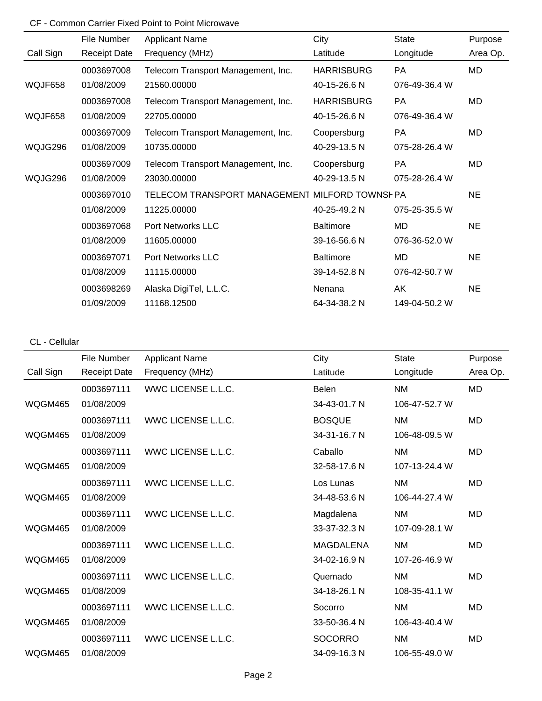# CF - Common Carrier Fixed Point to Point Microwave

|           | File Number         | <b>Applicant Name</b>                          | City              | <b>State</b>  | Purpose   |
|-----------|---------------------|------------------------------------------------|-------------------|---------------|-----------|
| Call Sign | <b>Receipt Date</b> | Frequency (MHz)                                | Latitude          | Longitude     | Area Op.  |
|           | 0003697008          | Telecom Transport Management, Inc.             | <b>HARRISBURG</b> | <b>PA</b>     | <b>MD</b> |
| WQJF658   | 01/08/2009          | 21560.00000                                    | 40-15-26.6 N      | 076-49-36.4 W |           |
|           | 0003697008          | Telecom Transport Management, Inc.             | <b>HARRISBURG</b> | <b>PA</b>     | <b>MD</b> |
| WQJF658   | 01/08/2009          | 22705.00000                                    | 40-15-26.6 N      | 076-49-36.4 W |           |
|           | 0003697009          | Telecom Transport Management, Inc.             | Coopersburg       | <b>PA</b>     | <b>MD</b> |
| WQJG296   | 01/08/2009          | 10735.00000                                    | 40-29-13.5 N      | 075-28-26.4 W |           |
|           | 0003697009          | Telecom Transport Management, Inc.             | Coopersburg       | PA            | <b>MD</b> |
| WQJG296   | 01/08/2009          | 23030.00000                                    | 40-29-13.5 N      | 075-28-26.4 W |           |
|           | 0003697010          | TELECOM TRANSPORT MANAGEMENT MILFORD TOWNSI PA |                   |               | <b>NE</b> |
|           | 01/08/2009          | 11225.00000                                    | 40-25-49.2 N      | 075-25-35.5 W |           |
|           | 0003697068          | <b>Port Networks LLC</b>                       | <b>Baltimore</b>  | MD            | <b>NE</b> |
|           | 01/08/2009          | 11605.00000                                    | 39-16-56.6 N      | 076-36-52.0 W |           |
|           | 0003697071          | <b>Port Networks LLC</b>                       | <b>Baltimore</b>  | MD            | <b>NE</b> |
|           | 01/08/2009          | 11115.00000                                    | 39-14-52.8 N      | 076-42-50.7 W |           |
|           | 0003698269          | Alaska DigiTel, L.L.C.                         | Nenana            | AK            | <b>NE</b> |
|           | 01/09/2009          | 11168.12500                                    | 64-34-38.2 N      | 149-04-50.2 W |           |

## CL - Cellular

|                | File Number         | <b>Applicant Name</b>     | City             | <b>State</b>  | Purpose   |
|----------------|---------------------|---------------------------|------------------|---------------|-----------|
| Call Sign      | <b>Receipt Date</b> | Frequency (MHz)           | Latitude         | Longitude     | Area Op.  |
|                | 0003697111          | WWC LICENSE L.L.C.        | <b>Belen</b>     | <b>NM</b>     | <b>MD</b> |
| WQGM465        | 01/08/2009          |                           | 34-43-01.7 N     | 106-47-52.7 W |           |
|                | 0003697111          | WWC LICENSE L.L.C.        | <b>BOSQUE</b>    | <b>NM</b>     | MD        |
| WQGM465        | 01/08/2009          |                           | 34-31-16.7 N     | 106-48-09.5 W |           |
|                | 0003697111          | WWC LICENSE L.L.C.        | Caballo          | <b>NM</b>     | <b>MD</b> |
| <b>WQGM465</b> | 01/08/2009          |                           | 32-58-17.6 N     | 107-13-24.4 W |           |
|                | 0003697111          | <b>WWC LICENSE L.L.C.</b> | Los Lunas        | <b>NM</b>     | <b>MD</b> |
| <b>WQGM465</b> | 01/08/2009          |                           | 34-48-53.6 N     | 106-44-27.4 W |           |
|                | 0003697111          | <b>WWC LICENSE L.L.C.</b> | Magdalena        | <b>NM</b>     | <b>MD</b> |
| WQGM465        | 01/08/2009          |                           | 33-37-32.3 N     | 107-09-28.1 W |           |
|                | 0003697111          | <b>WWC LICENSE L.L.C.</b> | <b>MAGDALENA</b> | <b>NM</b>     | <b>MD</b> |
| WQGM465        | 01/08/2009          |                           | 34-02-16.9 N     | 107-26-46.9 W |           |
|                | 0003697111          | <b>WWC LICENSE L.L.C.</b> | Quemado          | <b>NM</b>     | <b>MD</b> |
| WQGM465        | 01/08/2009          |                           | 34-18-26.1 N     | 108-35-41.1 W |           |
|                | 0003697111          | <b>WWC LICENSE L.L.C.</b> | Socorro          | <b>NM</b>     | <b>MD</b> |
| WQGM465        | 01/08/2009          |                           | 33-50-36.4 N     | 106-43-40.4 W |           |
|                | 0003697111          | WWC LICENSE L.L.C.        | <b>SOCORRO</b>   | <b>NM</b>     | <b>MD</b> |
| WQGM465        | 01/08/2009          |                           | 34-09-16.3 N     | 106-55-49.0 W |           |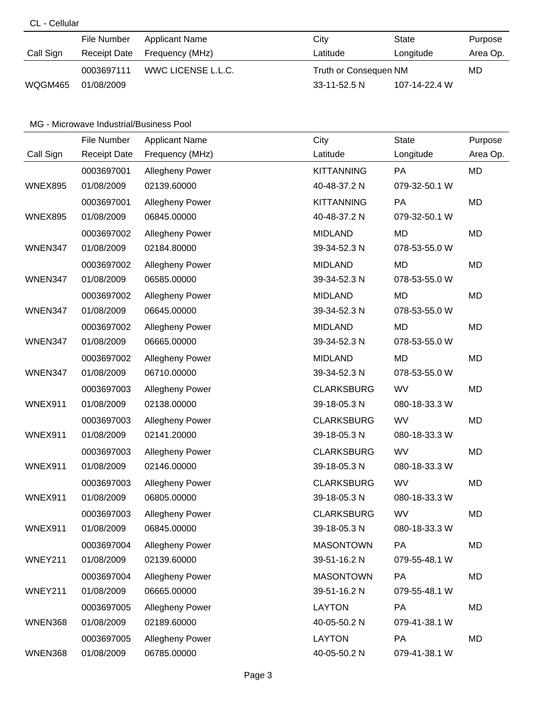## CL - Cellular

|           | File Number         | Applicant Name     | City                  | State         | Purpose  |
|-----------|---------------------|--------------------|-----------------------|---------------|----------|
| Call Sign | <b>Receipt Date</b> | Frequency (MHz)    | Latitude              | Longitude     | Area Op. |
|           | 0003697111          | WWC LICENSE L.L.C. | Truth or Consequen NM |               | MD       |
| WQGM465   | 01/08/2009          |                    | $33-11-52.5 N$        | 107-14-22.4 W |          |

## MG - Microwave Industrial/Business Pool

|                | File Number         | <b>Applicant Name</b>  | City              | <b>State</b>  | Purpose   |
|----------------|---------------------|------------------------|-------------------|---------------|-----------|
| Call Sign      | <b>Receipt Date</b> | Frequency (MHz)        | Latitude          | Longitude     | Area Op.  |
|                | 0003697001          | Allegheny Power        | <b>KITTANNING</b> | PA            | <b>MD</b> |
| WNEX895        | 01/08/2009          | 02139.60000            | 40-48-37.2 N      | 079-32-50.1 W |           |
|                | 0003697001          | <b>Allegheny Power</b> | <b>KITTANNING</b> | PA            | MD        |
| <b>WNEX895</b> | 01/08/2009          | 06845.00000            | 40-48-37.2 N      | 079-32-50.1 W |           |
|                | 0003697002          | <b>Allegheny Power</b> | <b>MIDLAND</b>    | MD            | MD        |
| WNEN347        | 01/08/2009          | 02184.80000            | 39-34-52.3 N      | 078-53-55.0 W |           |
|                | 0003697002          | <b>Allegheny Power</b> | <b>MIDLAND</b>    | MD            | MD        |
| WNEN347        | 01/08/2009          | 06585.00000            | 39-34-52.3 N      | 078-53-55.0 W |           |
|                | 0003697002          | Allegheny Power        | <b>MIDLAND</b>    | MD            | MD        |
| WNEN347        | 01/08/2009          | 06645.00000            | 39-34-52.3 N      | 078-53-55.0 W |           |
|                | 0003697002          | Allegheny Power        | <b>MIDLAND</b>    | MD            | MD        |
| WNEN347        | 01/08/2009          | 06665.00000            | 39-34-52.3 N      | 078-53-55.0 W |           |
|                | 0003697002          | Allegheny Power        | <b>MIDLAND</b>    | MD            | MD        |
| WNEN347        | 01/08/2009          | 06710.00000            | 39-34-52.3 N      | 078-53-55.0 W |           |
|                | 0003697003          | <b>Allegheny Power</b> | <b>CLARKSBURG</b> | <b>WV</b>     | MD        |
| <b>WNEX911</b> | 01/08/2009          | 02138.00000            | 39-18-05.3 N      | 080-18-33.3 W |           |
|                | 0003697003          | <b>Allegheny Power</b> | <b>CLARKSBURG</b> | <b>WV</b>     | <b>MD</b> |
| WNEX911        | 01/08/2009          | 02141.20000            | 39-18-05.3 N      | 080-18-33.3 W |           |
|                | 0003697003          | Allegheny Power        | <b>CLARKSBURG</b> | WV            | <b>MD</b> |
| WNEX911        | 01/08/2009          | 02146.00000            | 39-18-05.3 N      | 080-18-33.3 W |           |
|                | 0003697003          | <b>Allegheny Power</b> | <b>CLARKSBURG</b> | WV            | MD        |
| WNEX911        | 01/08/2009          | 06805.00000            | 39-18-05.3 N      | 080-18-33.3 W |           |
|                | 0003697003          | Allegheny Power        | <b>CLARKSBURG</b> | WV            | MD        |
| WNEX911        | 01/08/2009          | 06845.00000            | 39-18-05.3 N      | 080-18-33.3 W |           |
|                | 0003697004          | <b>Allegheny Power</b> | <b>MASONTOWN</b>  | PA            | MD        |
| WNEY211        | 01/08/2009          | 02139.60000            | 39-51-16.2 N      | 079-55-48.1 W |           |
|                | 0003697004          | Allegheny Power        | <b>MASONTOWN</b>  | <b>PA</b>     | MD        |
| WNEY211        | 01/08/2009          | 06665.00000            | 39-51-16.2 N      | 079-55-48.1 W |           |
|                | 0003697005          | Allegheny Power        | <b>LAYTON</b>     | PA            | MD        |
| WNEN368        | 01/08/2009          | 02189.60000            | 40-05-50.2 N      | 079-41-38.1 W |           |
|                | 0003697005          | <b>Allegheny Power</b> | <b>LAYTON</b>     | <b>PA</b>     | MD        |
| WNEN368        | 01/08/2009          | 06785.00000            | 40-05-50.2 N      | 079-41-38.1 W |           |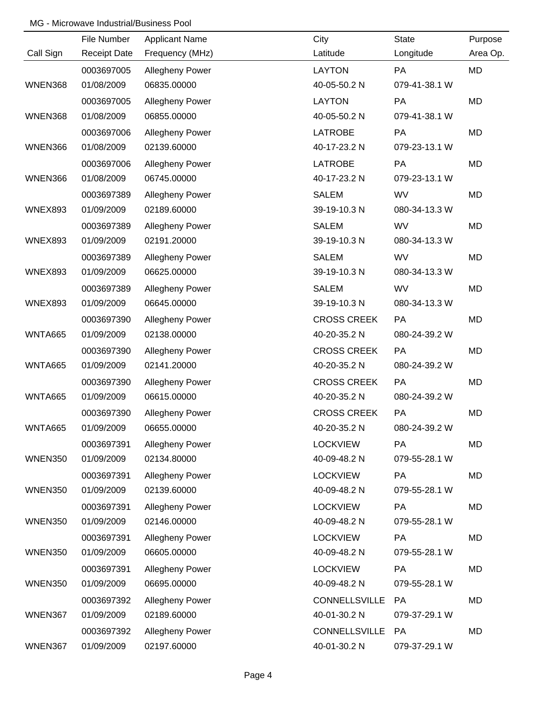### MG - Microwave Industrial/Business Pool

|                | File Number         | <b>Applicant Name</b> | City                 | <b>State</b>  | Purpose   |
|----------------|---------------------|-----------------------|----------------------|---------------|-----------|
| Call Sign      | <b>Receipt Date</b> | Frequency (MHz)       | Latitude             | Longitude     | Area Op.  |
|                | 0003697005          | Allegheny Power       | <b>LAYTON</b>        | PA            | MD        |
| WNEN368        | 01/08/2009          | 06835.00000           | 40-05-50.2 N         | 079-41-38.1 W |           |
|                | 0003697005          | Allegheny Power       | <b>LAYTON</b>        | PA            | MD        |
| WNEN368        | 01/08/2009          | 06855.00000           | 40-05-50.2 N         | 079-41-38.1 W |           |
|                | 0003697006          | Allegheny Power       | <b>LATROBE</b>       | <b>PA</b>     | <b>MD</b> |
| WNEN366        | 01/08/2009          | 02139.60000           | 40-17-23.2 N         | 079-23-13.1 W |           |
|                | 0003697006          | Allegheny Power       | <b>LATROBE</b>       | PA            | <b>MD</b> |
| WNEN366        | 01/08/2009          | 06745.00000           | 40-17-23.2 N         | 079-23-13.1 W |           |
|                | 0003697389          | Allegheny Power       | <b>SALEM</b>         | <b>WV</b>     | MD        |
| <b>WNEX893</b> | 01/09/2009          | 02189.60000           | 39-19-10.3 N         | 080-34-13.3 W |           |
|                | 0003697389          | Allegheny Power       | <b>SALEM</b>         | <b>WV</b>     | MD        |
| <b>WNEX893</b> | 01/09/2009          | 02191.20000           | 39-19-10.3 N         | 080-34-13.3 W |           |
|                | 0003697389          | Allegheny Power       | <b>SALEM</b>         | <b>WV</b>     | MD        |
| <b>WNEX893</b> | 01/09/2009          | 06625.00000           | 39-19-10.3 N         | 080-34-13.3 W |           |
|                | 0003697389          | Allegheny Power       | <b>SALEM</b>         | <b>WV</b>     | MD        |
| <b>WNEX893</b> | 01/09/2009          | 06645.00000           | 39-19-10.3 N         | 080-34-13.3 W |           |
|                | 0003697390          | Allegheny Power       | <b>CROSS CREEK</b>   | PA            | MD        |
| WNTA665        | 01/09/2009          | 02138.00000           | 40-20-35.2 N         | 080-24-39.2 W |           |
|                | 0003697390          | Allegheny Power       | <b>CROSS CREEK</b>   | PA            | MD        |
| <b>WNTA665</b> | 01/09/2009          | 02141.20000           | 40-20-35.2 N         | 080-24-39.2 W |           |
|                | 0003697390          | Allegheny Power       | <b>CROSS CREEK</b>   | PA            | MD        |
| <b>WNTA665</b> | 01/09/2009          | 06615.00000           | 40-20-35.2 N         | 080-24-39.2 W |           |
|                | 0003697390          | Allegheny Power       | <b>CROSS CREEK</b>   | PA            | MD        |
| WNTA665        | 01/09/2009          | 06655.00000           | 40-20-35.2 N         | 080-24-39.2 W |           |
|                | 0003697391          | Allegheny Power       | <b>LOCKVIEW</b>      | PA            | MD        |
| <b>WNEN350</b> | 01/09/2009          | 02134.80000           | 40-09-48.2 N         | 079-55-28.1 W |           |
|                | 0003697391          | Allegheny Power       | <b>LOCKVIEW</b>      | PA            | MD        |
| WNEN350        | 01/09/2009          | 02139.60000           | 40-09-48.2 N         | 079-55-28.1 W |           |
|                | 0003697391          | Allegheny Power       | <b>LOCKVIEW</b>      | PA            | MD        |
| <b>WNEN350</b> | 01/09/2009          | 02146.00000           | 40-09-48.2 N         | 079-55-28.1 W |           |
|                | 0003697391          | Allegheny Power       | <b>LOCKVIEW</b>      | PA            | MD        |
| <b>WNEN350</b> | 01/09/2009          | 06605.00000           | 40-09-48.2 N         | 079-55-28.1 W |           |
|                | 0003697391          | Allegheny Power       | <b>LOCKVIEW</b>      | <b>PA</b>     | MD        |
| <b>WNEN350</b> | 01/09/2009          | 06695.00000           | 40-09-48.2 N         | 079-55-28.1 W |           |
|                | 0003697392          | Allegheny Power       | <b>CONNELLSVILLE</b> | PA            | MD        |
| WNEN367        | 01/09/2009          | 02189.60000           | 40-01-30.2 N         | 079-37-29.1 W |           |
|                | 0003697392          | Allegheny Power       | CONNELLSVILLE        | PA            | MD        |
| WNEN367        | 01/09/2009          | 02197.60000           | 40-01-30.2 N         | 079-37-29.1 W |           |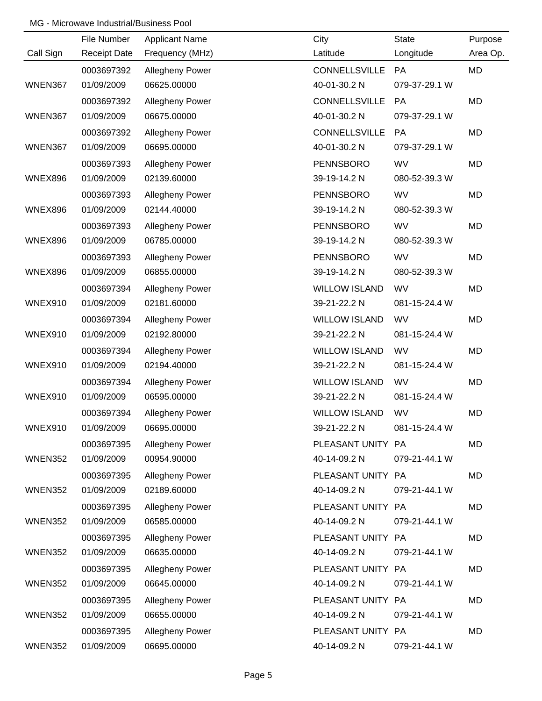### MG - Microwave Industrial/Business Pool

|                | File Number         | <b>Applicant Name</b> | City                 | <b>State</b>  | Purpose   |
|----------------|---------------------|-----------------------|----------------------|---------------|-----------|
| Call Sign      | <b>Receipt Date</b> | Frequency (MHz)       | Latitude             | Longitude     | Area Op.  |
|                | 0003697392          | Allegheny Power       | CONNELLSVILLE        | PA            | MD        |
| WNEN367        | 01/09/2009          | 06625.00000           | 40-01-30.2 N         | 079-37-29.1 W |           |
|                | 0003697392          | Allegheny Power       | <b>CONNELLSVILLE</b> | PA            | <b>MD</b> |
| <b>WNEN367</b> | 01/09/2009          | 06675.00000           | 40-01-30.2 N         | 079-37-29.1 W |           |
|                | 0003697392          | Allegheny Power       | CONNELLSVILLE        | PA            | <b>MD</b> |
| WNEN367        | 01/09/2009          | 06695.00000           | 40-01-30.2 N         | 079-37-29.1 W |           |
|                | 0003697393          | Allegheny Power       | PENNSBORO            | <b>WV</b>     | <b>MD</b> |
| <b>WNEX896</b> | 01/09/2009          | 02139.60000           | 39-19-14.2 N         | 080-52-39.3 W |           |
|                | 0003697393          | Allegheny Power       | <b>PENNSBORO</b>     | <b>WV</b>     | MD        |
| <b>WNEX896</b> | 01/09/2009          | 02144.40000           | 39-19-14.2 N         | 080-52-39.3 W |           |
|                | 0003697393          | Allegheny Power       | <b>PENNSBORO</b>     | <b>WV</b>     | MD        |
| <b>WNEX896</b> | 01/09/2009          | 06785.00000           | 39-19-14.2 N         | 080-52-39.3 W |           |
|                | 0003697393          | Allegheny Power       | <b>PENNSBORO</b>     | <b>WV</b>     | MD        |
| <b>WNEX896</b> | 01/09/2009          | 06855.00000           | 39-19-14.2 N         | 080-52-39.3 W |           |
|                | 0003697394          | Allegheny Power       | <b>WILLOW ISLAND</b> | <b>WV</b>     | MD        |
| WNEX910        | 01/09/2009          | 02181.60000           | 39-21-22.2 N         | 081-15-24.4 W |           |
|                | 0003697394          | Allegheny Power       | <b>WILLOW ISLAND</b> | <b>WV</b>     | MD        |
| WNEX910        | 01/09/2009          | 02192.80000           | 39-21-22.2 N         | 081-15-24.4 W |           |
|                | 0003697394          | Allegheny Power       | <b>WILLOW ISLAND</b> | <b>WV</b>     | MD        |
| WNEX910        | 01/09/2009          | 02194.40000           | 39-21-22.2 N         | 081-15-24.4 W |           |
|                | 0003697394          | Allegheny Power       | <b>WILLOW ISLAND</b> | <b>WV</b>     | MD        |
| WNEX910        | 01/09/2009          | 06595.00000           | 39-21-22.2 N         | 081-15-24.4 W |           |
|                | 0003697394          | Allegheny Power       | <b>WILLOW ISLAND</b> | WV            | MD        |
| <b>WNEX910</b> | 01/09/2009          | 06695.00000           | 39-21-22.2 N         | 081-15-24.4 W |           |
|                | 0003697395          | Allegheny Power       | PLEASANT UNITY PA    |               | MD        |
| WNEN352        | 01/09/2009          | 00954.90000           | 40-14-09.2 N         | 079-21-44.1 W |           |
|                | 0003697395          | Allegheny Power       | PLEASANT UNITY PA    |               | MD        |
| <b>WNEN352</b> | 01/09/2009          | 02189.60000           | 40-14-09.2 N         | 079-21-44.1 W |           |
|                | 0003697395          | Allegheny Power       | PLEASANT UNITY PA    |               | MD        |
| WNEN352        | 01/09/2009          | 06585.00000           | 40-14-09.2 N         | 079-21-44.1 W |           |
|                | 0003697395          | Allegheny Power       | PLEASANT UNITY PA    |               | MD        |
| WNEN352        | 01/09/2009          | 06635.00000           | 40-14-09.2 N         | 079-21-44.1 W |           |
|                | 0003697395          | Allegheny Power       | PLEASANT UNITY PA    |               | MD        |
| WNEN352        | 01/09/2009          | 06645.00000           | 40-14-09.2 N         | 079-21-44.1 W |           |
|                | 0003697395          | Allegheny Power       | PLEASANT UNITY PA    |               | MD        |
| <b>WNEN352</b> | 01/09/2009          | 06655.00000           | 40-14-09.2 N         | 079-21-44.1 W |           |
|                | 0003697395          | Allegheny Power       | PLEASANT UNITY PA    |               | MD        |
| WNEN352        | 01/09/2009          | 06695.00000           | 40-14-09.2 N         | 079-21-44.1 W |           |